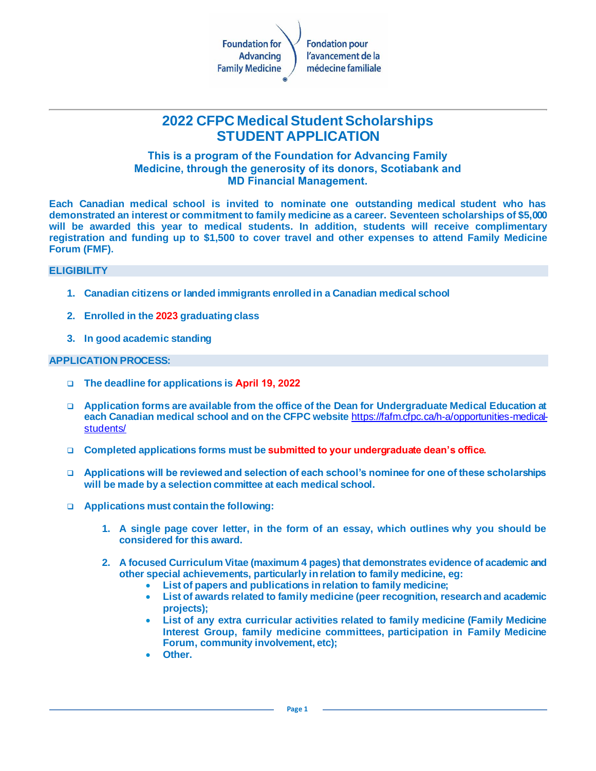

# **2022 CFPC Medical Student Scholarships STUDENT APPLICATION**

#### **This is a program of the Foundation for Advancing Family Medicine, through the generosity of its donors, Scotiabank and MD Financial Management.**

**Each Canadian medical school is invited to nominate one outstanding medical student who has demonstrated an interest or commitment to family medicine as a career. Seventeen scholarships of \$5,000 will be awarded this year to medical students. In addition, students will receive complimentary registration and funding up to \$1,500 to cover travel and other expenses to attend Family Medicine Forum (FMF).**

#### **ELIGIBILITY**

- **1. Canadian citizens or landed immigrants enrolled in a Canadian medical school**
- **2. Enrolled in the 2023 graduating class**
- **3. In good academic standing**

#### **APPLICATION PROCESS:**

- ❑ **The deadline for applications is April 19, 2022**
- ❑ **Application forms are available from the office of the Dean for Undergraduate Medical Education at each Canadian medical school and on the CFPC website** [https://fafm.cfpc.ca/h-a/opportunities-medical](https://fafm.cfpc.ca/h-a/opportunities-medical-students/)[students/](https://fafm.cfpc.ca/h-a/opportunities-medical-students/)
- ❑ **Completed applications forms must be submitted to your undergraduate dean's office.**
- ❑ **Applications will be reviewed and selection of each school's nominee for one of these scholarships will be made by a selection committee at each medical school.**
- ❑ **Applications must contain the following:**
	- **1. A single page cover letter, in the form of an essay, which outlines why you should be considered for this award.**
	- **2. A focused Curriculum Vitae (maximum 4 pages) that demonstrates evidence of academic and other special achievements, particularly in relation to family medicine, eg:**
		- **List of papers and publications in relation to family medicine;**
		- **List of awards related to family medicine (peer recognition, research and academic projects);**
		- **List of any extra curricular activities related to family medicine (Family Medicine Interest Group, family medicine committees, participation in Family Medicine Forum, community involvement, etc);**
		- **Other.**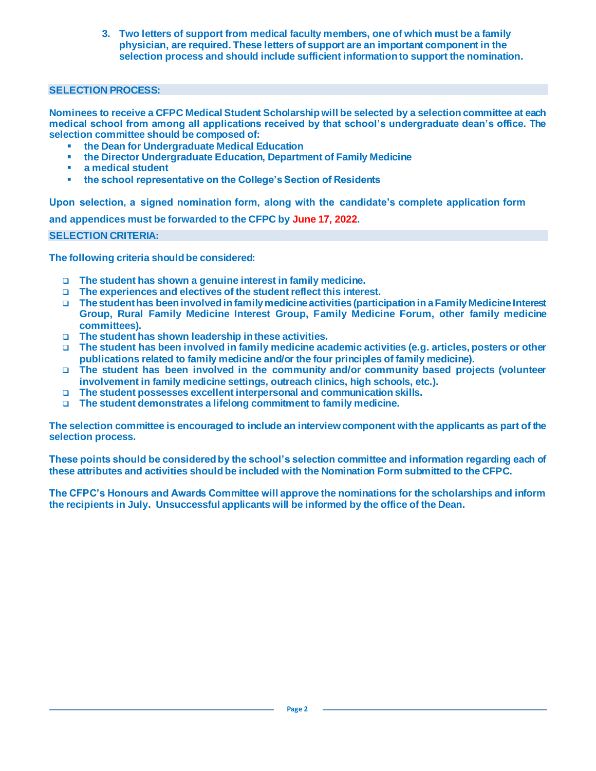**3. Two letters of support from medical faculty members, one of which must be a family physician, are required. These letters of support are an important component in the selection process and should include sufficient information to support the nomination.**

#### **SELECTION PROCESS:**

**Nominees to receive a CFPC Medical Student Scholarship will be selected by a selection committee at each medical school from among all applications received by that school's undergraduate dean's office. The selection committee should be composed of:**

- **the Dean for Undergraduate Medical Education**
- **the Director Undergraduate Education, Department of Family Medicine**
- a medical student
- **the school representative on the College's Section of Residents**

**Upon selection, a signed nomination form, along with the candidate's complete application form and appendices must be forwarded to the CFPC by June 17, 2022.**

#### **SELECTION CRITERIA:**

**The following criteria should be considered:**

- ❑ **The student has shown a genuine interest in family medicine.**
- ❑ **The experiences and electives of the student reflect this interest.**
- ❑ **The student has been involved in family medicine activities (participation in a Family Medicine Interest Group, Rural Family Medicine Interest Group, Family Medicine Forum, other family medicine committees).**
- ❑ **The student has shown leadership in these activities.**
- ❑ **The student has been involved in family medicine academic activities (e.g. articles, posters or other publications related to family medicine and/or the four principles of family medicine).**
- ❑ **The student has been involved in the community and/or community based projects (volunteer involvement in family medicine settings, outreach clinics, high schools, etc.).**
- ❑ **The student possesses excellent interpersonal and communication skills.**
- ❑ **The student demonstrates a lifelong commitment to family medicine.**

**The selection committee is encouraged to include an interview component with the applicants as part of the selection process.**

**These points should be considered by the school's selection committee and information regarding each of these attributes and activities should be included with the Nomination Form submitted to the CFPC.** 

**The CFPC's Honours and Awards Committee will approve the nominations for the scholarships and inform the recipients in July. Unsuccessful applicants will be informed by the office of the Dean.**